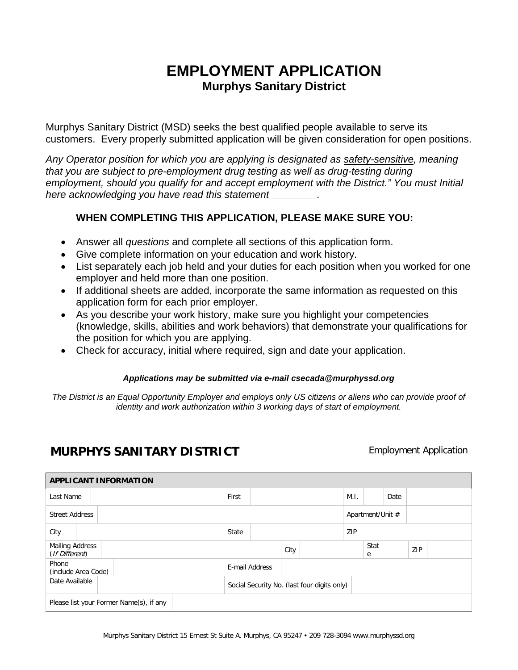## **EMPLOYMENT APPLICATION Murphys Sanitary District**

Murphys Sanitary District (MSD) seeks the best qualified people available to serve its customers. Every properly submitted application will be given consideration for open positions.

*Any Operator position for which you are applying is designated as safety-sensitive, meaning that you are subject to pre-employment drug testing as well as drug-testing during employment, should you qualify for and accept employment with the District." You must Initial here acknowledging you have read this statement \_\_\_\_\_\_\_\_.*

## **WHEN COMPLETING THIS APPLICATION, PLEASE MAKE SURE YOU:**

- Answer all *questions* and complete all sections of this application form.
- Give complete information on your education and work history.
- List separately each job held and your duties for each position when you worked for one employer and held more than one position.
- If additional sheets are added, incorporate the same information as requested on this application form for each prior employer.
- As you describe your work history, make sure you highlight your competencies (knowledge, skills, abilities and work behaviors) that demonstrate your qualifications for the position for which you are applying.
- Check for accuracy, initial where required, sign and date your application.

## *Applications may be submitted via e-mail csecada@murphyssd.org*

*The District is an Equal Opportunity Employer and employs only US citizens or aliens who can provide proof of identity and work authorization within 3 working days of start of employment.*

## **MURPHYS SANITARY DISTRICT** Employment Application

| <b>APPLICANT INFORMATION</b>             |  |  |                |  |                                             |  |            |                  |      |     |  |
|------------------------------------------|--|--|----------------|--|---------------------------------------------|--|------------|------------------|------|-----|--|
| Last Name                                |  |  | First          |  |                                             |  | M.I.       |                  | Date |     |  |
| <b>Street Address</b>                    |  |  |                |  |                                             |  |            | Apartment/Unit # |      |     |  |
| City                                     |  |  | State          |  |                                             |  | <b>ZIP</b> |                  |      |     |  |
| <b>Mailing Address</b><br>(If Different) |  |  |                |  | City                                        |  |            | Stat<br>e        |      | ZIP |  |
| Phone<br>(include Area Code)             |  |  | E-mail Address |  |                                             |  |            |                  |      |     |  |
| Date Available                           |  |  |                |  | Social Security No. (last four digits only) |  |            |                  |      |     |  |
| Please list your Former Name(s), if any  |  |  |                |  |                                             |  |            |                  |      |     |  |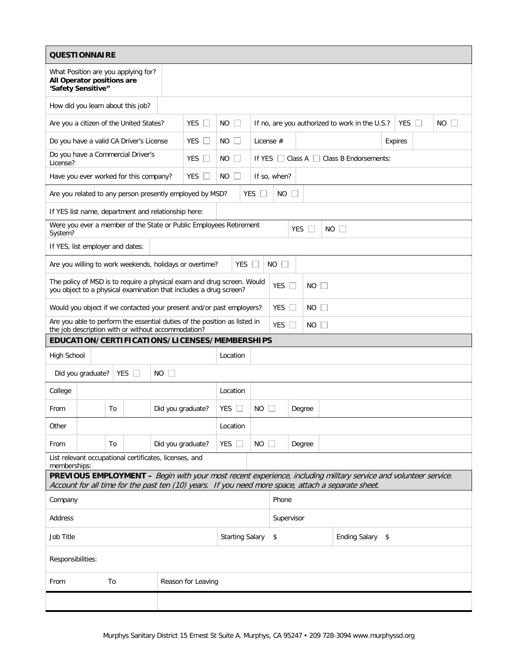| <b>QUESTIONNAIRE</b>                                                                                                                                                                                                  |                                    |                                                                                         |                                              |  |  |  |  |  |  |
|-----------------------------------------------------------------------------------------------------------------------------------------------------------------------------------------------------------------------|------------------------------------|-----------------------------------------------------------------------------------------|----------------------------------------------|--|--|--|--|--|--|
| What Position are you applying for?<br>All Operator positions are<br>'Safety Sensitive"                                                                                                                               |                                    |                                                                                         |                                              |  |  |  |  |  |  |
| How did you learn about this job?                                                                                                                                                                                     |                                    |                                                                                         |                                              |  |  |  |  |  |  |
| Are you a citizen of the United States?                                                                                                                                                                               | YES  <br>NO.                       | If no, are you authorized to work in the U.S.?<br><b>YES</b><br>NO.<br>$\Box$<br>$\Box$ |                                              |  |  |  |  |  |  |
| Do you have a valid CA Driver's License                                                                                                                                                                               | <b>YES</b><br>NO.                  |                                                                                         | License #<br>Expires                         |  |  |  |  |  |  |
| Do you have a Commercial Driver's<br>License?                                                                                                                                                                         | <b>YES</b><br>NO.                  |                                                                                         | Class B Endorsements:<br>If YES<br>Class $A$ |  |  |  |  |  |  |
| Have you ever worked for this company?                                                                                                                                                                                | YES<br>NO.                         |                                                                                         | If so, when?                                 |  |  |  |  |  |  |
| Are you related to any person presently employed by MSD?<br>YES<br><b>NO</b>                                                                                                                                          |                                    |                                                                                         |                                              |  |  |  |  |  |  |
| If YES list name, department and relationship here:                                                                                                                                                                   |                                    |                                                                                         |                                              |  |  |  |  |  |  |
| Were you ever a member of the State or Public Employees Retirement<br><b>YES</b><br>$NO$ $\Box$<br>System?                                                                                                            |                                    |                                                                                         |                                              |  |  |  |  |  |  |
| If YES, list employer and dates:                                                                                                                                                                                      |                                    |                                                                                         |                                              |  |  |  |  |  |  |
| Are you willing to work weekends, holidays or overtime?<br>YES $\Box$<br>NO.                                                                                                                                          |                                    |                                                                                         |                                              |  |  |  |  |  |  |
| The policy of MSD is to require a physical exam and drug screen. Would<br>YES $\Box$<br>NO.<br>$\mathbb{R}$<br>you object to a physical examination that includes a drug screen?                                      |                                    |                                                                                         |                                              |  |  |  |  |  |  |
| Would you object if we contacted your present and/or past employers?                                                                                                                                                  |                                    |                                                                                         | <b>YES</b><br>NO.                            |  |  |  |  |  |  |
| Are you able to perform the essential duties of the position as listed in<br>the job description with or without accommodation?                                                                                       |                                    |                                                                                         | YES $\Box$<br>$NO \Box$                      |  |  |  |  |  |  |
| EDUCATION/CERTIFICATIONS/LICENSES/MEMBERSHIPS                                                                                                                                                                         |                                    |                                                                                         |                                              |  |  |  |  |  |  |
| <b>High School</b><br>Location                                                                                                                                                                                        |                                    |                                                                                         |                                              |  |  |  |  |  |  |
| <b>YES</b><br><b>NO</b><br>Did you graduate?<br>$\mathbb{R}^n$<br>$\mathbb{R}$                                                                                                                                        |                                    |                                                                                         |                                              |  |  |  |  |  |  |
| College                                                                                                                                                                                                               | Location                           |                                                                                         |                                              |  |  |  |  |  |  |
| From<br>To                                                                                                                                                                                                            | Did you graduate?<br>YES $\Box$    | NO.                                                                                     | Degree                                       |  |  |  |  |  |  |
| Other                                                                                                                                                                                                                 | Location                           |                                                                                         |                                              |  |  |  |  |  |  |
| From<br>To                                                                                                                                                                                                            | YES $\square$<br>Did you graduate? | $NO$ $\Box$                                                                             | Degree                                       |  |  |  |  |  |  |
| List relevant occupational certificates, licenses, and<br>memberships:                                                                                                                                                |                                    |                                                                                         |                                              |  |  |  |  |  |  |
| PREVIOUS EMPLOYMENT - Begin with your most recent experience, including military service and volunteer service.<br>Account for all time for the past ten (10) years. If you need more space, attach a separate sheet. |                                    |                                                                                         |                                              |  |  |  |  |  |  |
| Phone<br>Company                                                                                                                                                                                                      |                                    |                                                                                         |                                              |  |  |  |  |  |  |
| Address                                                                                                                                                                                                               |                                    |                                                                                         | Supervisor                                   |  |  |  |  |  |  |
| Job Title                                                                                                                                                                                                             |                                    | Ending Salary \$<br><b>Starting Salary</b><br>\$                                        |                                              |  |  |  |  |  |  |
| Responsibilities:                                                                                                                                                                                                     |                                    |                                                                                         |                                              |  |  |  |  |  |  |
| To<br>From                                                                                                                                                                                                            | Reason for Leaving                 |                                                                                         |                                              |  |  |  |  |  |  |
|                                                                                                                                                                                                                       |                                    |                                                                                         |                                              |  |  |  |  |  |  |